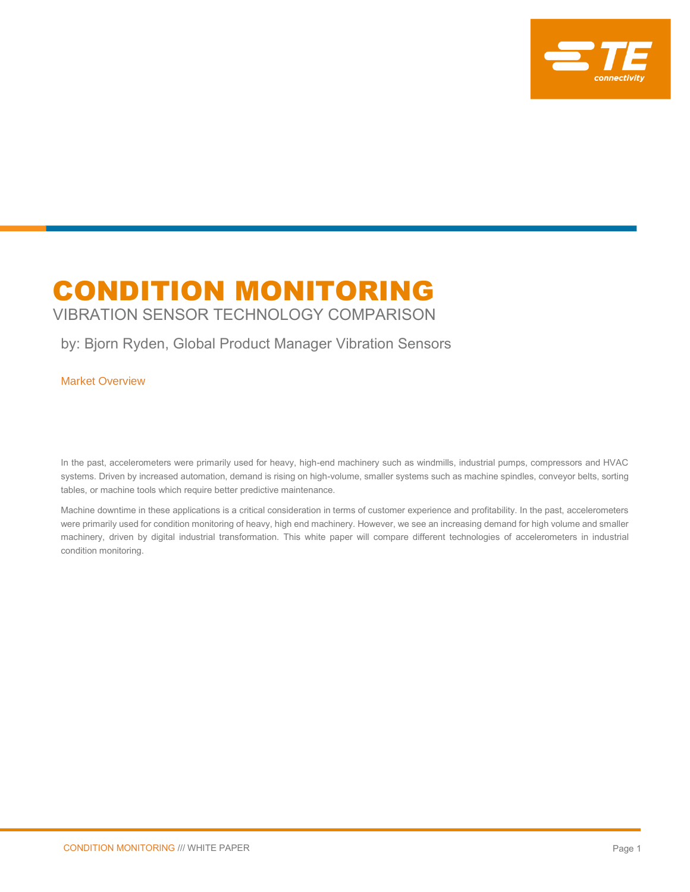

# CONDITION MONITORING

VIBRATION SENSOR TECHNOLOGY COMPARISON

## by: Bjorn Ryden, Global Product Manager Vibration Sensors

Market Overview

In the past, accelerometers were primarily used for heavy, high-end machinery such as windmills, industrial pumps, compressors and HVAC systems. Driven by increased automation, demand is rising on high-volume, smaller systems such as machine spindles, conveyor belts, sorting tables, or machine tools which require better predictive maintenance.

Machine downtime in these applications is a critical consideration in terms of customer experience and profitability. In the past, accelerometers were primarily used for condition monitoring of heavy, high end machinery. However, we see an increasing demand for high volume and smaller machinery, driven by digital industrial transformation. This white paper will compare different technologies of accelerometers in industrial condition monitoring.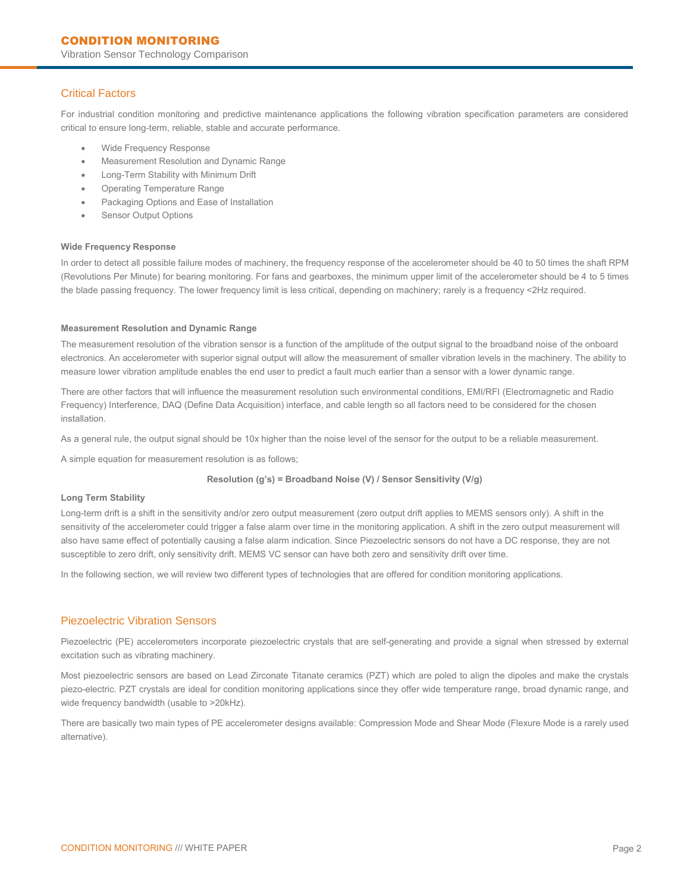Vibration Sensor Technology Comparison

## Critical Factors

For industrial condition monitoring and predictive maintenance applications the following vibration specification parameters are considered critical to ensure long-term, reliable, stable and accurate performance.

- Wide Frequency Response
- Measurement Resolution and Dynamic Range
- Long-Term Stability with Minimum Drift
- Operating Temperature Range
- Packaging Options and Ease of Installation
- Sensor Output Options

#### **Wide Frequency Response**

In order to detect all possible failure modes of machinery, the frequency response of the accelerometer should be 40 to 50 times the shaft RPM (Revolutions Per Minute) for bearing monitoring. For fans and gearboxes, the minimum upper limit of the accelerometer should be 4 to 5 times the blade passing frequency. The lower frequency limit is less critical, depending on machinery; rarely is a frequency <2Hz required.

#### **Measurement Resolution and Dynamic Range**

The measurement resolution of the vibration sensor is a function of the amplitude of the output signal to the broadband noise of the onboard electronics. An accelerometer with superior signal output will allow the measurement of smaller vibration levels in the machinery. The ability to measure lower vibration amplitude enables the end user to predict a fault much earlier than a sensor with a lower dynamic range.

There are other factors that will influence the measurement resolution such environmental conditions, EMI/RFI (Electromagnetic and Radio Frequency) Interference, DAQ (Define Data Acquisition) interface, and cable length so all factors need to be considered for the chosen installation.

As a general rule, the output signal should be 10x higher than the noise level of the sensor for the output to be a reliable measurement.

A simple equation for measurement resolution is as follows;

#### **Resolution (g's) = Broadband Noise (V) / Sensor Sensitivity (V/g)**

#### **Long Term Stability**

Long-term drift is a shift in the sensitivity and/or zero output measurement (zero output drift applies to MEMS sensors only). A shift in the sensitivity of the accelerometer could trigger a false alarm over time in the monitoring application. A shift in the zero output measurement will also have same effect of potentially causing a false alarm indication. Since Piezoelectric sensors do not have a DC response, they are not susceptible to zero drift, only sensitivity drift. MEMS VC sensor can have both zero and sensitivity drift over time.

In the following section, we will review two different types of technologies that are offered for condition monitoring applications.

## Piezoelectric Vibration Sensors

Piezoelectric (PE) accelerometers incorporate piezoelectric crystals that are self-generating and provide a signal when stressed by external excitation such as vibrating machinery.

Most piezoelectric sensors are based on Lead Zirconate Titanate ceramics (PZT) which are poled to align the dipoles and make the crystals piezo-electric. PZT crystals are ideal for condition monitoring applications since they offer wide temperature range, broad dynamic range, and wide frequency bandwidth (usable to >20kHz).

There are basically two main types of PE accelerometer designs available: Compression Mode and Shear Mode (Flexure Mode is a rarely used alternative).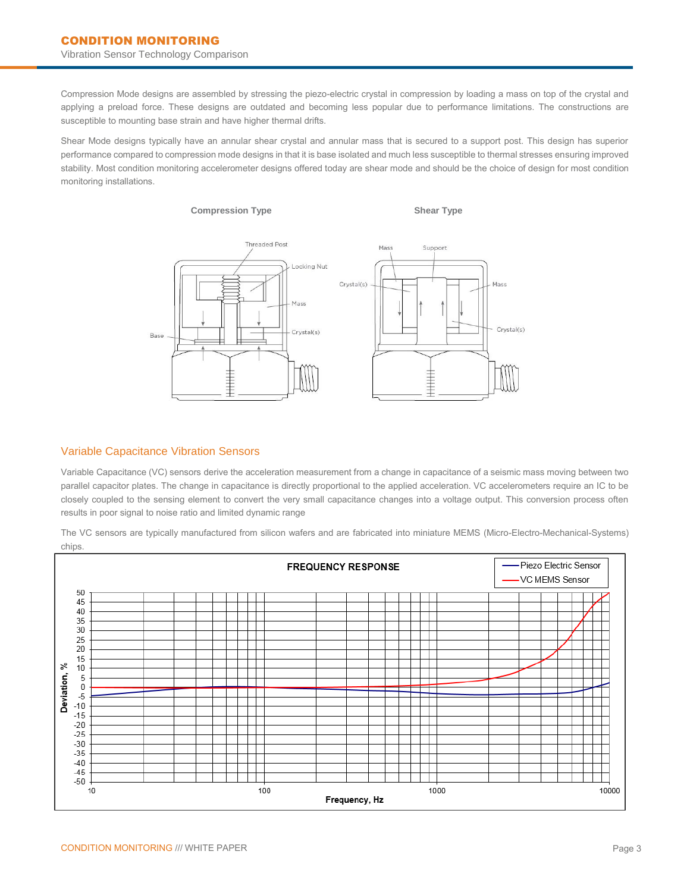Compression Mode designs are assembled by stressing the piezo-electric crystal in compression by loading a mass on top of the crystal and applying a preload force. These designs are outdated and becoming less popular due to performance limitations. The constructions are susceptible to mounting base strain and have higher thermal drifts.

Shear Mode designs typically have an annular shear crystal and annular mass that is secured to a support post. This design has superior performance compared to compression mode designs in that it is base isolated and much less susceptible to thermal stresses ensuring improved stability. Most condition monitoring accelerometer designs offered today are shear mode and should be the choice of design for most condition monitoring installations.



## Variable Capacitance Vibration Sensors

Variable Capacitance (VC) sensors derive the acceleration measurement from a change in capacitance of a seismic mass moving between two parallel capacitor plates. The change in capacitance is directly proportional to the applied acceleration. VC accelerometers require an IC to be closely coupled to the sensing element to convert the very small capacitance changes into a voltage output. This conversion process often results in poor signal to noise ratio and limited dynamic range

**FREQUENCY RESPONSE** Piezo Electric Sensor VC MEMS Sensor 50 45 40 35 30 25  $20$ 15 న్ 10 Deviation, 5  $\mathbf 0$  $-5$  $-10$  $-15$  $-20$  $-25$  $-30$  $-35$  $-40$  $-45$ -50  $10$ 100 1000 10000 Frequency, Hz

The VC sensors are typically manufactured from silicon wafers and are fabricated into miniature MEMS (Micro-Electro-Mechanical-Systems) chips.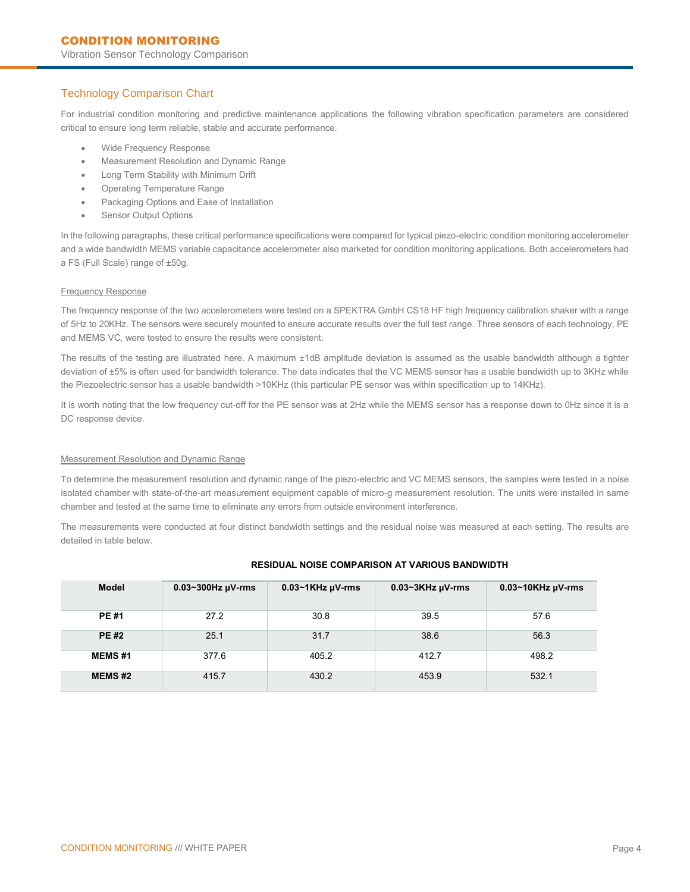## Technology Comparison Chart

For industrial condition monitoring and predictive maintenance applications the following vibration specification parameters are considered critical to ensure long term reliable, stable and accurate performance.

- Wide Frequency Response
- Measurement Resolution and Dynamic Range
- Long Term Stability with Minimum Drift
- Operating Temperature Range
- Packaging Options and Ease of Installation
- Sensor Output Options

In the following paragraphs, these critical performance specifications were compared for typical piezo-electric condition monitoring accelerometer and a wide bandwidth MEMS variable capacitance accelerometer also marketed for condition monitoring applications. Both accelerometers had a FS (Full Scale) range of ±50g.

#### Frequency Response

The frequency response of the two accelerometers were tested on a SPEKTRA GmbH CS18 HF high frequency calibration shaker with a range of 5Hz to 20KHz. The sensors were securely mounted to ensure accurate results over the full test range. Three sensors of each technology, PE and MEMS VC, were tested to ensure the results were consistent.

The results of the testing are illustrated here. A maximum ±1dB amplitude deviation is assumed as the usable bandwidth although a tighter deviation of ±5% is often used for bandwidth tolerance. The data indicates that the VC MEMS sensor has a usable bandwidth up to 3KHz while the Piezoelectric sensor has a usable bandwidth >10KHz (this particular PE sensor was within specification up to 14KHz).

It is worth noting that the low frequency cut-off for the PE sensor was at 2Hz while the MEMS sensor has a response down to 0Hz since it is a DC response device.

#### Measurement Resolution and Dynamic Range

To determine the measurement resolution and dynamic range of the piezo-electric and VC MEMS sensors, the samples were tested in a noise isolated chamber with state-of-the-art measurement equipment capable of micro-g measurement resolution. The units were installed in same chamber and tested at the same time to eliminate any errors from outside environment interference.

The measurements were conducted at four distinct bandwidth settings and the residual noise was measured at each setting. The results are detailed in table below.

| <b>Model</b>  | $0.03 - 300$ Hz $\mu$ V-rms | $0.03~1$ KHz $\mu$ V-rms | $0.03 \sim 3$ KHz $\mu$ V-rms | $0.03 - 10$ KHz $\mu$ V-rms |
|---------------|-----------------------------|--------------------------|-------------------------------|-----------------------------|
| <b>PE#1</b>   | 27.2                        | 30.8                     | 39.5                          | 57.6                        |
| <b>PE#2</b>   | 25.1                        | 31.7                     | 38.6                          | 56.3                        |
| <b>MEMS#1</b> | 377.6                       | 405.2                    | 412.7                         | 498.2                       |
| <b>MEMS#2</b> | 415.7                       | 430.2                    | 453.9                         | 532.1                       |

#### **RESIDUAL NOISE COMPARISON AT VARIOUS BANDWIDTH**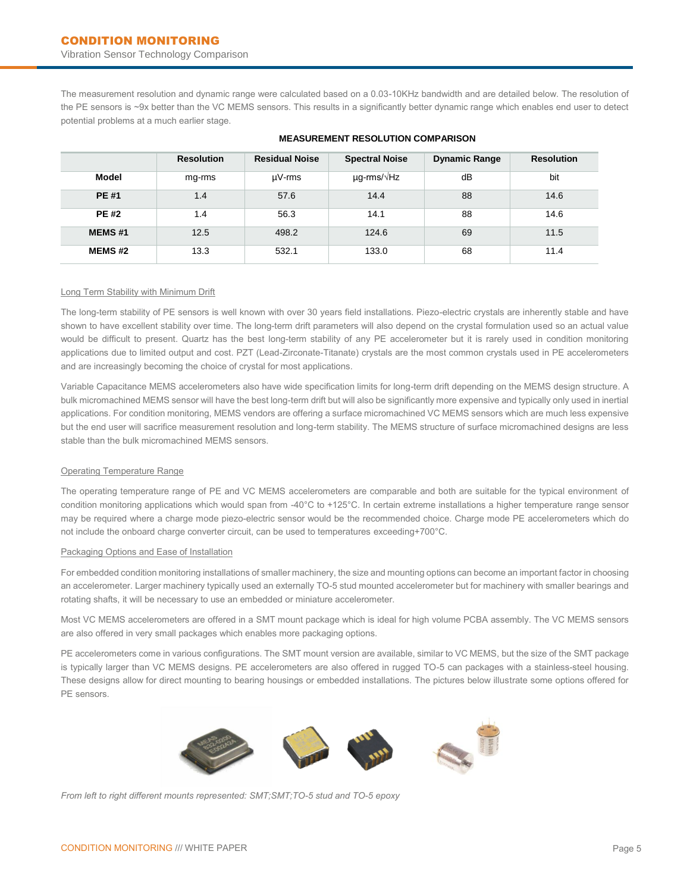The measurement resolution and dynamic range were calculated based on a 0.03-10KHz bandwidth and are detailed below. The resolution of the PE sensors is ~9x better than the VC MEMS sensors. This results in a significantly better dynamic range which enables end user to detect potential problems at a much earlier stage.

|               | <b>Resolution</b> | <b>Residual Noise</b> | <b>Spectral Noise</b>    | <b>Dynamic Range</b> | <b>Resolution</b> |
|---------------|-------------------|-----------------------|--------------------------|----------------------|-------------------|
| <b>Model</b>  | mg-rms            | $\mu$ V-rms           | $\mu$ g-rms/ $\sqrt{Hz}$ | dB                   | bit               |
| <b>PE#1</b>   | 1.4               | 57.6                  | 14.4                     | 88                   | 14.6              |
| <b>PE#2</b>   | 1.4               | 56.3                  | 14.1                     | 88                   | 14.6              |
| <b>MEMS#1</b> | 12.5              | 498.2                 | 124.6                    | 69                   | 11.5              |
| <b>MEMS#2</b> | 13.3              | 532.1                 | 133.0                    | 68                   | 11.4              |

## **MEASUREMENT RESOLUTION COMPARISON**

#### Long Term Stability with Minimum Drift

The long-term stability of PE sensors is well known with over 30 years field installations. Piezo-electric crystals are inherently stable and have shown to have excellent stability over time. The long-term drift parameters will also depend on the crystal formulation used so an actual value would be difficult to present. Quartz has the best long-term stability of any PE accelerometer but it is rarely used in condition monitoring applications due to limited output and cost. PZT (Lead-Zirconate-Titanate) crystals are the most common crystals used in PE accelerometers and are increasingly becoming the choice of crystal for most applications.

Variable Capacitance MEMS accelerometers also have wide specification limits for long-term drift depending on the MEMS design structure. A bulk micromachined MEMS sensor will have the best long-term drift but will also be significantly more expensive and typically only used in inertial applications. For condition monitoring, MEMS vendors are offering a surface micromachined VC MEMS sensors which are much less expensive but the end user will sacrifice measurement resolution and long-term stability. The MEMS structure of surface micromachined designs are less stable than the bulk micromachined MEMS sensors.

#### Operating Temperature Range

The operating temperature range of PE and VC MEMS accelerometers are comparable and both are suitable for the typical environment of condition monitoring applications which would span from -40°C to +125°C. In certain extreme installations a higher temperature range sensor may be required where a charge mode piezo-electric sensor would be the recommended choice. Charge mode PE accelerometers which do not include the onboard charge converter circuit, can be used to temperatures exceeding+700°C.

#### Packaging Options and Ease of Installation

For embedded condition monitoring installations of smaller machinery, the size and mounting options can become an important factor in choosing an accelerometer. Larger machinery typically used an externally TO-5 stud mounted accelerometer but for machinery with smaller bearings and rotating shafts, it will be necessary to use an embedded or miniature accelerometer.

Most VC MEMS accelerometers are offered in a SMT mount package which is ideal for high volume PCBA assembly. The VC MEMS sensors are also offered in very small packages which enables more packaging options.

PE accelerometers come in various configurations. The SMT mount version are available, similar to VC MEMS, but the size of the SMT package is typically larger than VC MEMS designs. PE accelerometers are also offered in rugged TO-5 can packages with a stainless-steel housing. These designs allow for direct mounting to bearing housings or embedded installations. The pictures below illustrate some options offered for PE sensors.



*From left to right different mounts represented: SMT;SMT;TO-5 stud and TO-5 epoxy*